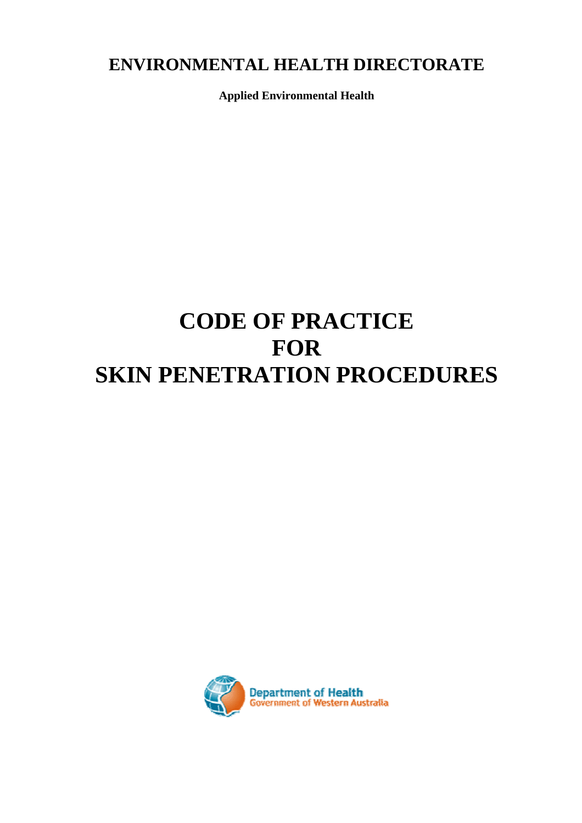# **ENVIRONMENTAL HEALTH DIRECTORATE**

**Applied Environmental Health** 

# **CODE OF PRACTICE FOR SKIN PENETRATION PROCEDURES**

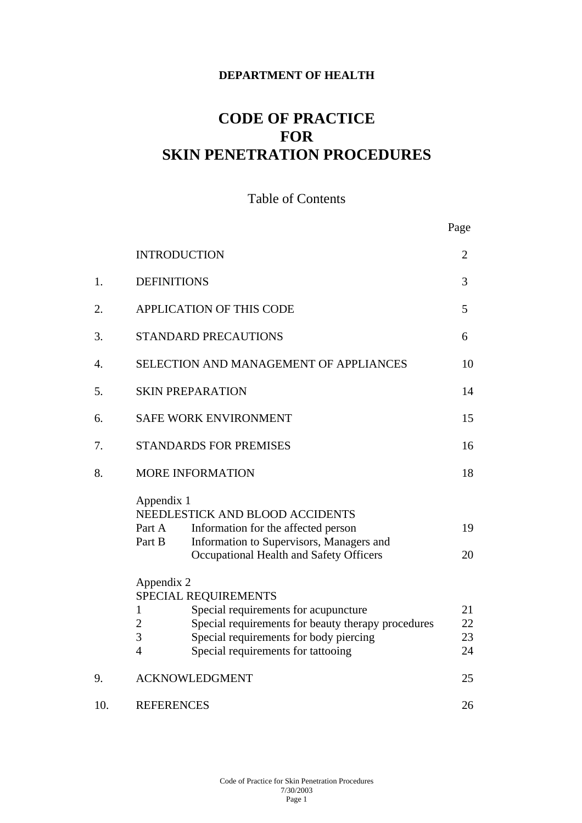#### **DEPARTMENT OF HEALTH**

# **CODE OF PRACTICE FOR SKIN PENETRATION PROCEDURES**

### Table of Contents

|     |                                                                                                                   | Page |
|-----|-------------------------------------------------------------------------------------------------------------------|------|
|     | <b>INTRODUCTION</b>                                                                                               | 2    |
| 1.  | <b>DEFINITIONS</b>                                                                                                | 3    |
| 2.  | <b>APPLICATION OF THIS CODE</b>                                                                                   | 5    |
| 3.  | <b>STANDARD PRECAUTIONS</b>                                                                                       | 6    |
| 4.  | SELECTION AND MANAGEMENT OF APPLIANCES                                                                            | 10   |
| 5.  | <b>SKIN PREPARATION</b>                                                                                           | 14   |
| 6.  | SAFE WORK ENVIRONMENT                                                                                             | 15   |
| 7.  | <b>STANDARDS FOR PREMISES</b>                                                                                     | 16   |
| 8.  | <b>MORE INFORMATION</b>                                                                                           | 18   |
|     | Appendix 1                                                                                                        |      |
|     | NEEDLESTICK AND BLOOD ACCIDENTS<br>Information for the affected person<br>Part A                                  | 19   |
|     | Part B<br>Information to Supervisors, Managers and                                                                |      |
|     | Occupational Health and Safety Officers                                                                           | 20   |
|     | Appendix 2                                                                                                        |      |
|     | SPECIAL REQUIREMENTS                                                                                              | 21   |
|     | Special requirements for acupuncture<br>1<br>Special requirements for beauty therapy procedures<br>$\overline{2}$ | 22   |
|     | 3<br>Special requirements for body piercing                                                                       | 23   |
|     | Special requirements for tattooing<br>$\overline{4}$                                                              | 24   |
| 9.  | <b>ACKNOWLEDGMENT</b>                                                                                             | 25   |
| 10. | <b>REFERENCES</b>                                                                                                 | 26   |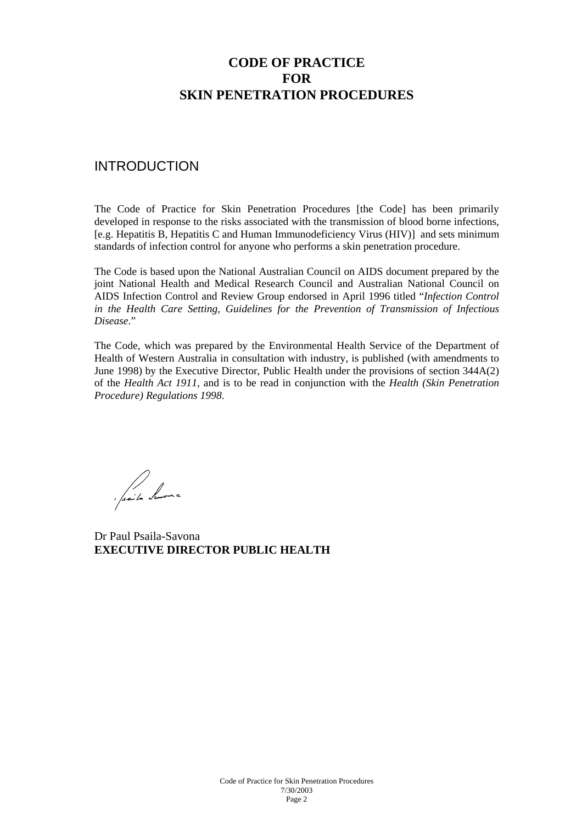# **CODE OF PRACTICE FOR SKIN PENETRATION PROCEDURES**

#### INTRODUCTION

The Code of Practice for Skin Penetration Procedures [the Code] has been primarily developed in response to the risks associated with the transmission of blood borne infections, [e.g. Hepatitis B, Hepatitis C and Human Immunodeficiency Virus (HIV)] and sets minimum standards of infection control for anyone who performs a skin penetration procedure.

The Code is based upon the National Australian Council on AIDS document prepared by the joint National Health and Medical Research Council and Australian National Council on AIDS Infection Control and Review Group endorsed in April 1996 titled "*Infection Control in the Health Care Setting, Guidelines for the Prevention of Transmission of Infectious Disease*."

The Code, which was prepared by the Environmental Health Service of the Department of Health of Western Australia in consultation with industry, is published (with amendments to June 1998) by the Executive Director, Public Health under the provisions of section 344A(2) of the *Health Act 1911,* and is to be read in conjunction with the *Health (Skin Penetration Procedure) Regulations 1998*.

Saite Sur

Dr Paul Psaila-Savona **EXECUTIVE DIRECTOR PUBLIC HEALTH**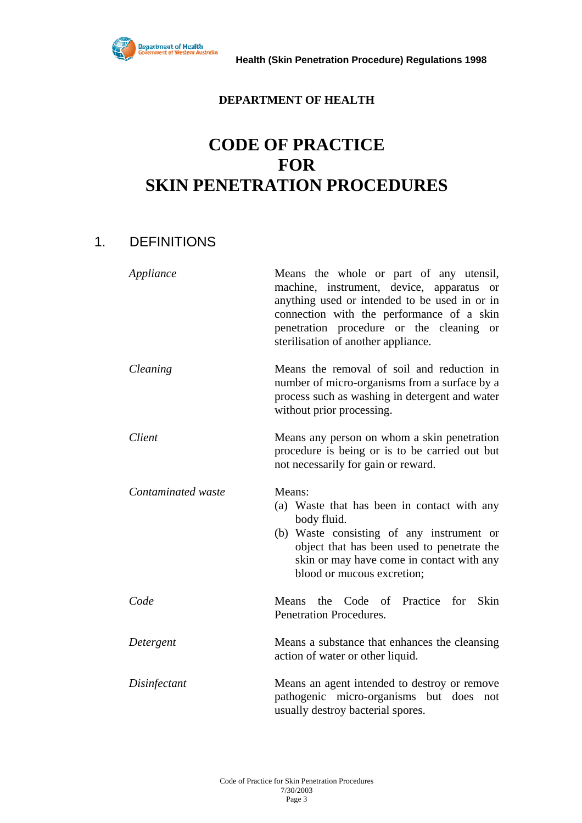

#### **DEPARTMENT OF HEALTH**

# **CODE OF PRACTICE FOR SKIN PENETRATION PROCEDURES**

# 1. DEFINITIONS

| Appliance          | Means the whole or part of any utensil,<br>machine, instrument, device, apparatus or<br>anything used or intended to be used in or in<br>connection with the performance of a skin<br>penetration procedure or the cleaning or<br>sterilisation of another appliance. |  |
|--------------------|-----------------------------------------------------------------------------------------------------------------------------------------------------------------------------------------------------------------------------------------------------------------------|--|
| Cleaning           | Means the removal of soil and reduction in<br>number of micro-organisms from a surface by a<br>process such as washing in detergent and water<br>without prior processing.                                                                                            |  |
| Client             | Means any person on whom a skin penetration<br>procedure is being or is to be carried out but<br>not necessarily for gain or reward.                                                                                                                                  |  |
| Contaminated waste | Means:<br>(a) Waste that has been in contact with any<br>body fluid.<br>(b) Waste consisting of any instrument or<br>object that has been used to penetrate the<br>skin or may have come in contact with any<br>blood or mucous excretion;                            |  |
| Code               | Means the Code of Practice for<br>Skin<br><b>Penetration Procedures.</b>                                                                                                                                                                                              |  |
| Detergent          | Means a substance that enhances the cleansing<br>action of water or other liquid.                                                                                                                                                                                     |  |
| Disinfectant       | Means an agent intended to destroy or remove<br>pathogenic micro-organisms but does<br>not<br>usually destroy bacterial spores.                                                                                                                                       |  |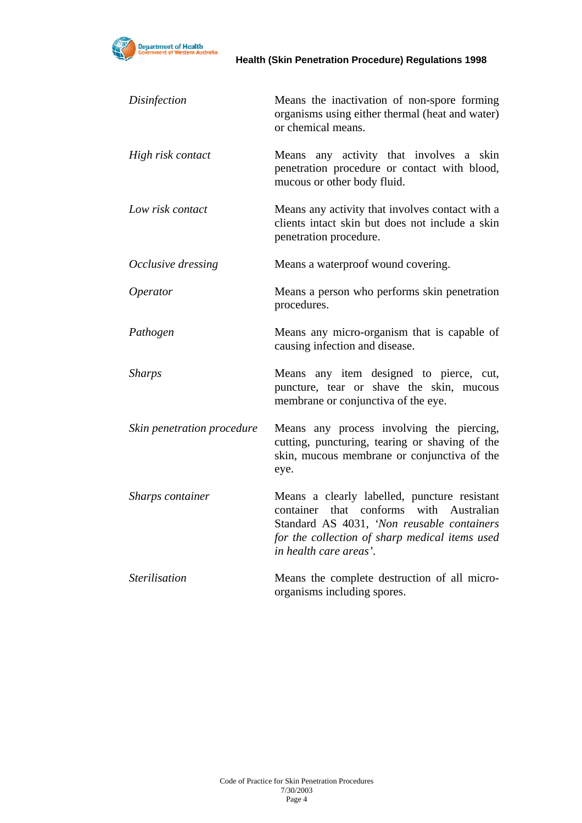

| Disinfection               | Means the inactivation of non-spore forming<br>organisms using either thermal (heat and water)<br>or chemical means.                                                                                              |
|----------------------------|-------------------------------------------------------------------------------------------------------------------------------------------------------------------------------------------------------------------|
| High risk contact          | Means any activity that involves a skin<br>penetration procedure or contact with blood,<br>mucous or other body fluid.                                                                                            |
| Low risk contact           | Means any activity that involves contact with a<br>clients intact skin but does not include a skin<br>penetration procedure.                                                                                      |
| Occlusive dressing         | Means a waterproof wound covering.                                                                                                                                                                                |
| Operator                   | Means a person who performs skin penetration<br>procedures.                                                                                                                                                       |
| Pathogen                   | Means any micro-organism that is capable of<br>causing infection and disease.                                                                                                                                     |
| <b>Sharps</b>              | Means any item designed to pierce, cut,<br>puncture, tear or shave the skin, mucous<br>membrane or conjunctiva of the eye.                                                                                        |
| Skin penetration procedure | Means any process involving the piercing,<br>cutting, puncturing, tearing or shaving of the<br>skin, mucous membrane or conjunctiva of the<br>eye.                                                                |
| Sharps container           | Means a clearly labelled, puncture resistant<br>container that conforms with Australian<br>Standard AS 4031, 'Non reusable containers<br>for the collection of sharp medical items used<br>in health care areas'. |
| <b>Sterilisation</b>       | Means the complete destruction of all micro-<br>organisms including spores.                                                                                                                                       |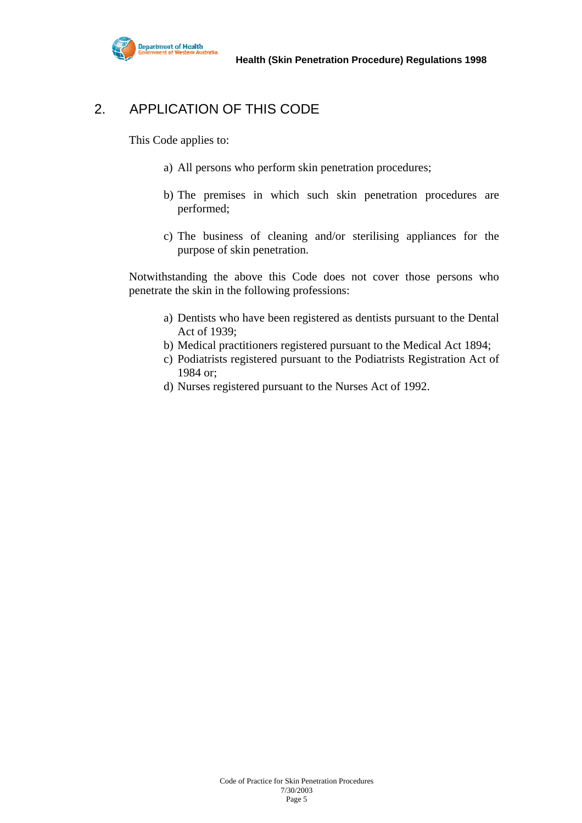

# 2. APPLICATION OF THIS CODE

This Code applies to:

- a) All persons who perform skin penetration procedures;
- b) The premises in which such skin penetration procedures are performed;
- c) The business of cleaning and/or sterilising appliances for the purpose of skin penetration.

Notwithstanding the above this Code does not cover those persons who penetrate the skin in the following professions:

- a) Dentists who have been registered as dentists pursuant to the Dental Act of 1939;
- b) Medical practitioners registered pursuant to the Medical Act 1894;
- c) Podiatrists registered pursuant to the Podiatrists Registration Act of 1984 or;
- d) Nurses registered pursuant to the Nurses Act of 1992.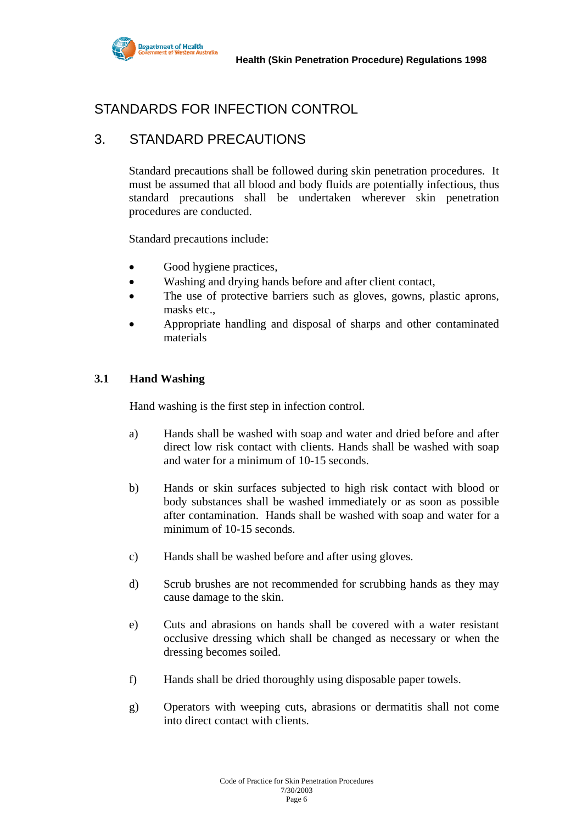

# STANDARDS FOR INFECTION CONTROL

# 3. STANDARD PRECAUTIONS

Standard precautions shall be followed during skin penetration procedures. It must be assumed that all blood and body fluids are potentially infectious, thus standard precautions shall be undertaken wherever skin penetration procedures are conducted.

Standard precautions include:

- Good hygiene practices,
- Washing and drying hands before and after client contact,
- The use of protective barriers such as gloves, gowns, plastic aprons, masks etc.,
- Appropriate handling and disposal of sharps and other contaminated materials

#### **3.1 Hand Washing**

Hand washing is the first step in infection control.

- a) Hands shall be washed with soap and water and dried before and after direct low risk contact with clients. Hands shall be washed with soap and water for a minimum of 10-15 seconds.
- b) Hands or skin surfaces subjected to high risk contact with blood or body substances shall be washed immediately or as soon as possible after contamination. Hands shall be washed with soap and water for a minimum of 10-15 seconds.
- c) Hands shall be washed before and after using gloves.
- d) Scrub brushes are not recommended for scrubbing hands as they may cause damage to the skin.
- e) Cuts and abrasions on hands shall be covered with a water resistant occlusive dressing which shall be changed as necessary or when the dressing becomes soiled.
- f) Hands shall be dried thoroughly using disposable paper towels.
- g) Operators with weeping cuts, abrasions or dermatitis shall not come into direct contact with clients.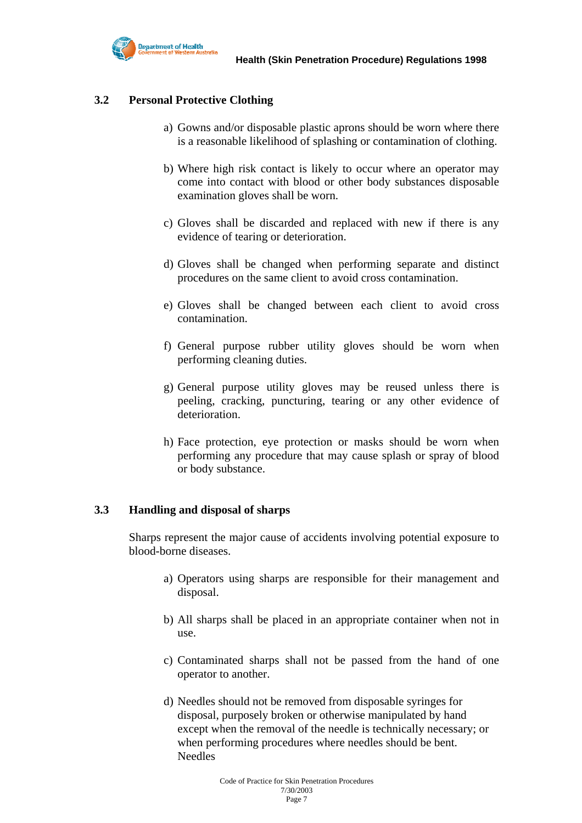

#### **3.2 Personal Protective Clothing**

- a) Gowns and/or disposable plastic aprons should be worn where there is a reasonable likelihood of splashing or contamination of clothing.
- b) Where high risk contact is likely to occur where an operator may come into contact with blood or other body substances disposable examination gloves shall be worn.
- c) Gloves shall be discarded and replaced with new if there is any evidence of tearing or deterioration.
- d) Gloves shall be changed when performing separate and distinct procedures on the same client to avoid cross contamination.
- e) Gloves shall be changed between each client to avoid cross contamination.
- f) General purpose rubber utility gloves should be worn when performing cleaning duties.
- g) General purpose utility gloves may be reused unless there is peeling, cracking, puncturing, tearing or any other evidence of deterioration.
- h) Face protection, eye protection or masks should be worn when performing any procedure that may cause splash or spray of blood or body substance.

#### **3.3 Handling and disposal of sharps**

 Sharps represent the major cause of accidents involving potential exposure to blood-borne diseases.

- a) Operators using sharps are responsible for their management and disposal.
- b) All sharps shall be placed in an appropriate container when not in use.
- c) Contaminated sharps shall not be passed from the hand of one operator to another.
- d) Needles should not be removed from disposable syringes for disposal, purposely broken or otherwise manipulated by hand except when the removal of the needle is technically necessary; or when performing procedures where needles should be bent. Needles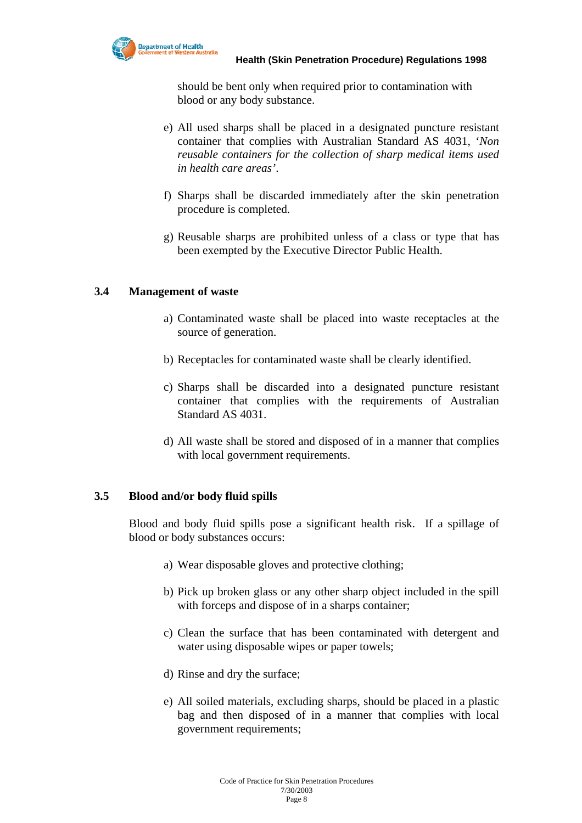

should be bent only when required prior to contamination with blood or any body substance.

- e) All used sharps shall be placed in a designated puncture resistant container that complies with Australian Standard AS 4031, '*Non reusable containers for the collection of sharp medical items used in health care areas'*.
- f) Sharps shall be discarded immediately after the skin penetration procedure is completed.
- g) Reusable sharps are prohibited unless of a class or type that has been exempted by the Executive Director Public Health.

#### **3.4 Management of waste**

- a) Contaminated waste shall be placed into waste receptacles at the source of generation.
- b) Receptacles for contaminated waste shall be clearly identified.
- c) Sharps shall be discarded into a designated puncture resistant container that complies with the requirements of Australian Standard AS 4031.
- d) All waste shall be stored and disposed of in a manner that complies with local government requirements.

#### **3.5 Blood and/or body fluid spills**

 Blood and body fluid spills pose a significant health risk. If a spillage of blood or body substances occurs:

- a) Wear disposable gloves and protective clothing;
- b) Pick up broken glass or any other sharp object included in the spill with forceps and dispose of in a sharps container;
- c) Clean the surface that has been contaminated with detergent and water using disposable wipes or paper towels;
- d) Rinse and dry the surface;
- e) All soiled materials, excluding sharps, should be placed in a plastic bag and then disposed of in a manner that complies with local government requirements;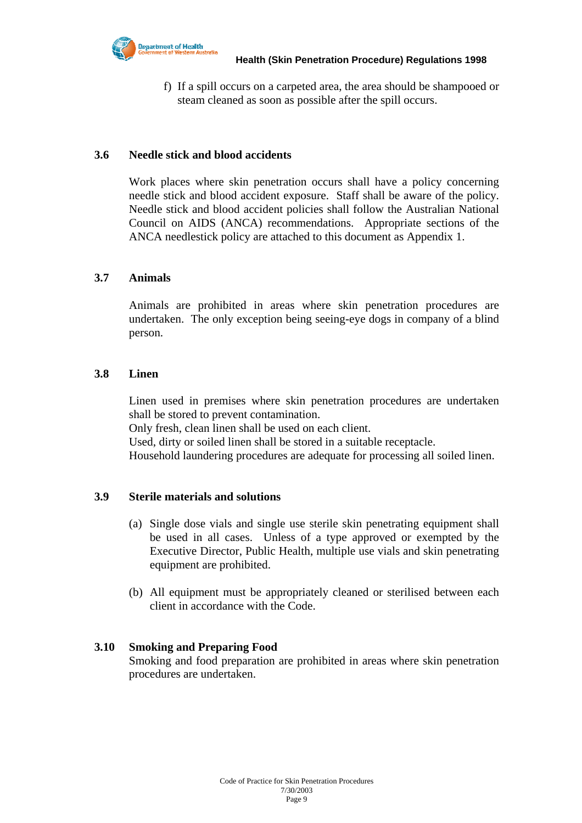

f) If a spill occurs on a carpeted area, the area should be shampooed or steam cleaned as soon as possible after the spill occurs.

#### **3.6 Needle stick and blood accidents**

 Work places where skin penetration occurs shall have a policy concerning needle stick and blood accident exposure. Staff shall be aware of the policy. Needle stick and blood accident policies shall follow the Australian National Council on AIDS (ANCA) recommendations. Appropriate sections of the ANCA needlestick policy are attached to this document as Appendix 1.

#### **3.7 Animals**

 Animals are prohibited in areas where skin penetration procedures are undertaken. The only exception being seeing-eye dogs in company of a blind person.

#### **3.8 Linen**

 Linen used in premises where skin penetration procedures are undertaken shall be stored to prevent contamination.

Only fresh, clean linen shall be used on each client.

Used, dirty or soiled linen shall be stored in a suitable receptacle.

Household laundering procedures are adequate for processing all soiled linen.

#### **3.9 Sterile materials and solutions**

- (a) Single dose vials and single use sterile skin penetrating equipment shall be used in all cases. Unless of a type approved or exempted by the Executive Director, Public Health, multiple use vials and skin penetrating equipment are prohibited.
- (b) All equipment must be appropriately cleaned or sterilised between each client in accordance with the Code.

#### **3.10 Smoking and Preparing Food**

Smoking and food preparation are prohibited in areas where skin penetration procedures are undertaken.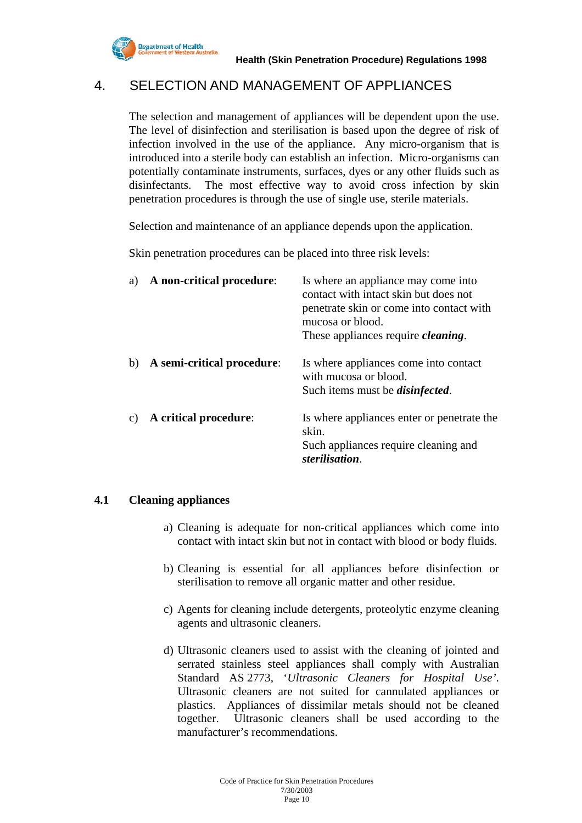

### 4. SELECTION AND MANAGEMENT OF APPLIANCES

The selection and management of appliances will be dependent upon the use. The level of disinfection and sterilisation is based upon the degree of risk of infection involved in the use of the appliance. Any micro-organism that is introduced into a sterile body can establish an infection. Micro-organisms can potentially contaminate instruments, surfaces, dyes or any other fluids such as disinfectants. The most effective way to avoid cross infection by skin penetration procedures is through the use of single use, sterile materials.

Selection and maintenance of an appliance depends upon the application.

Skin penetration procedures can be placed into three risk levels:

| a)          | A non-critical procedure:  | Is where an appliance may come into<br>contact with intact skin but does not<br>penetrate skin or come into contact with<br>mucosa or blood.<br>These appliances require <i>cleaning</i> . |
|-------------|----------------------------|--------------------------------------------------------------------------------------------------------------------------------------------------------------------------------------------|
| $\mathbf b$ | A semi-critical procedure: | Is where appliances come into contact<br>with mucosa or blood.<br>Such items must be <i>disinfected</i> .                                                                                  |
| C)          | A critical procedure:      | Is where appliances enter or penetrate the<br>skin.<br>Such appliances require cleaning and<br>sterilisation.                                                                              |

#### **4.1 Cleaning appliances**

- a) Cleaning is adequate for non-critical appliances which come into contact with intact skin but not in contact with blood or body fluids.
- b) Cleaning is essential for all appliances before disinfection or sterilisation to remove all organic matter and other residue.
- c) Agents for cleaning include detergents, proteolytic enzyme cleaning agents and ultrasonic cleaners.
- d) Ultrasonic cleaners used to assist with the cleaning of jointed and serrated stainless steel appliances shall comply with Australian Standard AS 2773, '*Ultrasonic Cleaners for Hospital Use'*. Ultrasonic cleaners are not suited for cannulated appliances or plastics. Appliances of dissimilar metals should not be cleaned together. Ultrasonic cleaners shall be used according to the manufacturer's recommendations.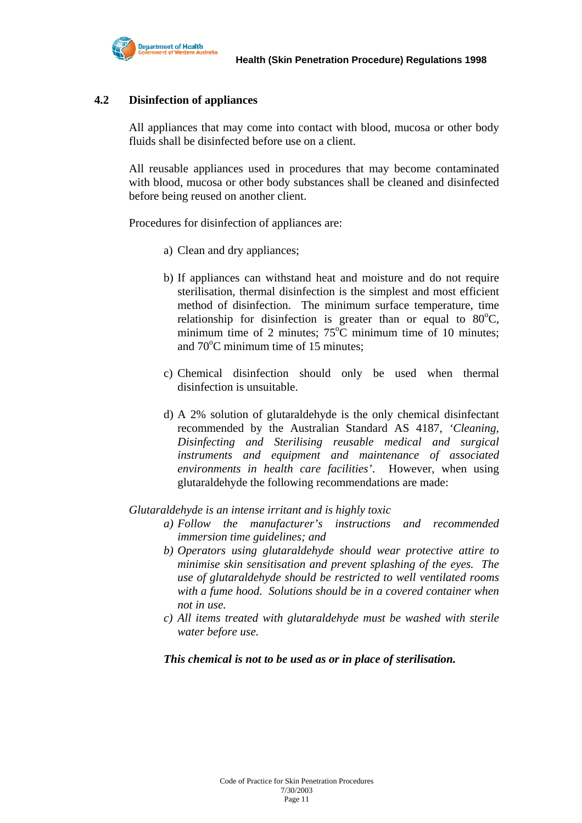

#### **4.2 Disinfection of appliances**

All appliances that may come into contact with blood, mucosa or other body fluids shall be disinfected before use on a client.

All reusable appliances used in procedures that may become contaminated with blood, mucosa or other body substances shall be cleaned and disinfected before being reused on another client.

Procedures for disinfection of appliances are:

- a) Clean and dry appliances;
- b) If appliances can withstand heat and moisture and do not require sterilisation, thermal disinfection is the simplest and most efficient method of disinfection. The minimum surface temperature, time relationship for disinfection is greater than or equal to  $80^{\circ}$ C, minimum time of 2 minutes;  $75^{\circ}$ C minimum time of 10 minutes; and 70<sup>o</sup>C minimum time of 15 minutes;
- c) Chemical disinfection should only be used when thermal disinfection is unsuitable.
- d) A 2% solution of glutaraldehyde is the only chemical disinfectant recommended by the Australian Standard AS 4187, *'Cleaning, Disinfecting and Sterilising reusable medical and surgical instruments and equipment and maintenance of associated environments in health care facilities'*. However, when using glutaraldehyde the following recommendations are made:

#### *Glutaraldehyde is an intense irritant and is highly toxic*

- *a) Follow the manufacturer's instructions and recommended immersion time guidelines; and*
- *b) Operators using glutaraldehyde should wear protective attire to minimise skin sensitisation and prevent splashing of the eyes. The use of glutaraldehyde should be restricted to well ventilated rooms with a fume hood. Solutions should be in a covered container when not in use.*
- *c) All items treated with glutaraldehyde must be washed with sterile water before use.*

#### *This chemical is not to be used as or in place of sterilisation.*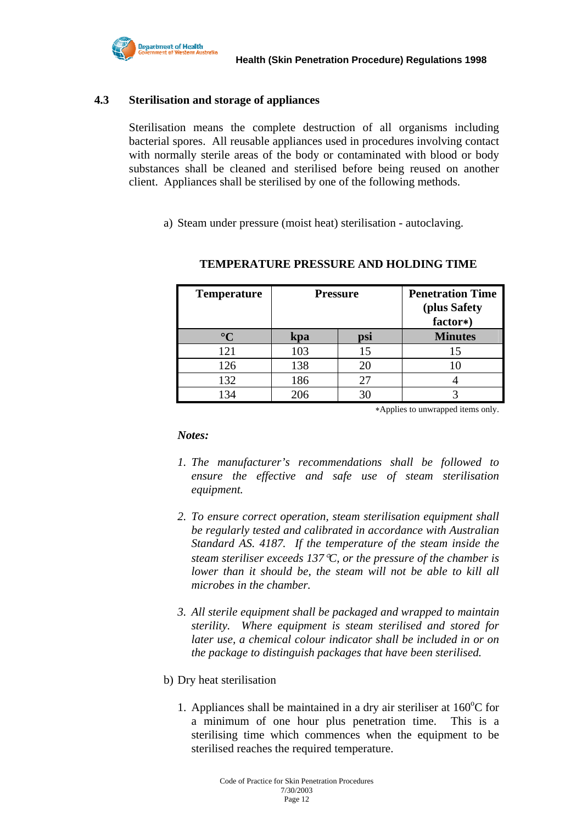

#### **4.3 Sterilisation and storage of appliances**

 Sterilisation means the complete destruction of all organisms including bacterial spores. All reusable appliances used in procedures involving contact with normally sterile areas of the body or contaminated with blood or body substances shall be cleaned and sterilised before being reused on another client. Appliances shall be sterilised by one of the following methods.

a) Steam under pressure (moist heat) sterilisation - autoclaving.

| <b>Temperature</b> | <b>Pressure</b> |     | <b>Penetration Time</b><br>(plus Safety<br>factor*) |
|--------------------|-----------------|-----|-----------------------------------------------------|
| $\circ$ $\cap$     | kpa             | psi | <b>Minutes</b>                                      |
| 121                | 103             | 15  | 15                                                  |
| 126                | 138             |     |                                                     |
| 132                | 186             |     |                                                     |
| 134                | 206             |     |                                                     |

#### **TEMPERATURE PRESSURE AND HOLDING TIME**

∗Applies to unwrapped items only.

*Notes:* 

- *1. The manufacturer's recommendations shall be followed to ensure the effective and safe use of steam sterilisation equipment.*
- *2. To ensure correct operation, steam sterilisation equipment shall be regularly tested and calibrated in accordance with Australian Standard AS. 4187. If the temperature of the steam inside the steam steriliser exceeds 137*°*C, or the pressure of the chamber is lower than it should be, the steam will not be able to kill all microbes in the chamber.*
- *3. All sterile equipment shall be packaged and wrapped to maintain sterility. Where equipment is steam sterilised and stored for later use, a chemical colour indicator shall be included in or on the package to distinguish packages that have been sterilised.*
- b) Dry heat sterilisation
	- 1. Appliances shall be maintained in a dry air steriliser at  $160^{\circ}$ C for a minimum of one hour plus penetration time. This is a sterilising time which commences when the equipment to be sterilised reaches the required temperature.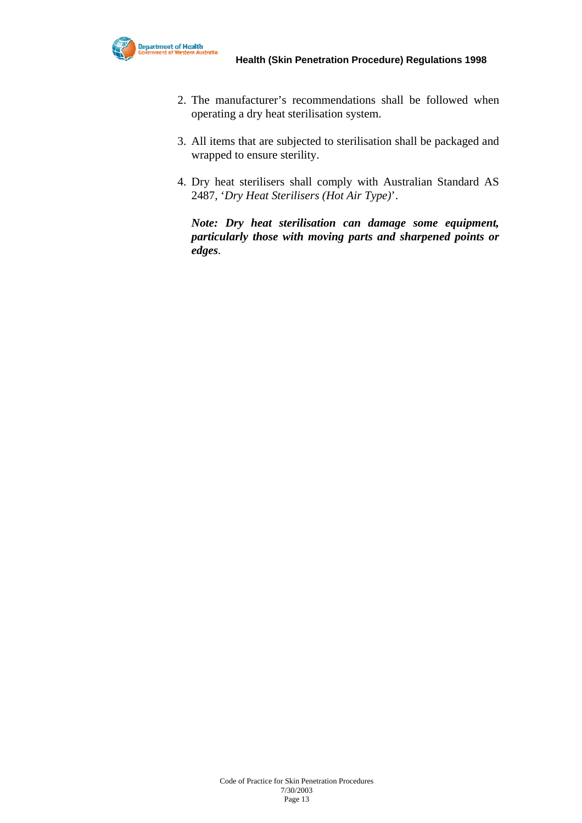- 2. The manufacturer's recommendations shall be followed when operating a dry heat sterilisation system.
- 3. All items that are subjected to sterilisation shall be packaged and wrapped to ensure sterility.
- 4. Dry heat sterilisers shall comply with Australian Standard AS 2487, '*Dry Heat Sterilisers (Hot Air Type)*'.

*Note: Dry heat sterilisation can damage some equipment, particularly those with moving parts and sharpened points or edges.*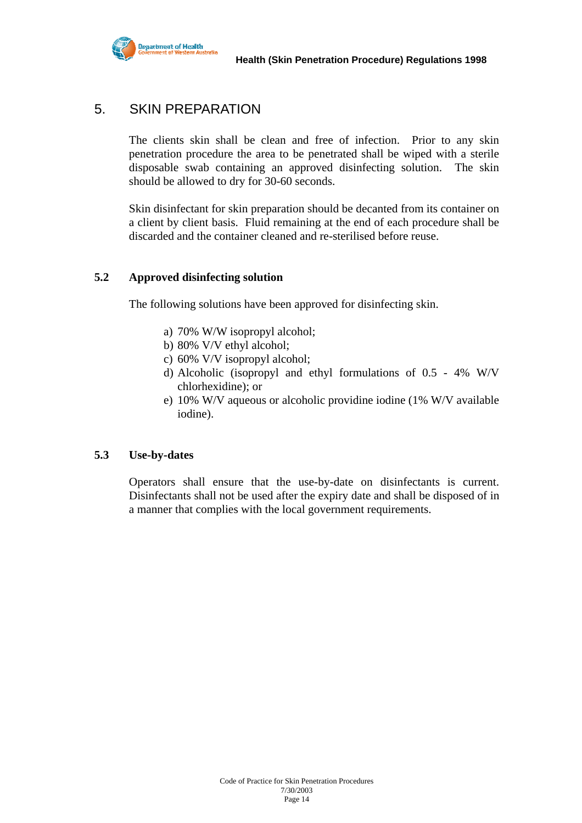

# 5. SKIN PREPARATION

The clients skin shall be clean and free of infection. Prior to any skin penetration procedure the area to be penetrated shall be wiped with a sterile disposable swab containing an approved disinfecting solution. The skin should be allowed to dry for 30-60 seconds.

Skin disinfectant for skin preparation should be decanted from its container on a client by client basis. Fluid remaining at the end of each procedure shall be discarded and the container cleaned and re-sterilised before reuse.

#### **5.2 Approved disinfecting solution**

The following solutions have been approved for disinfecting skin.

- a) 70% W/W isopropyl alcohol;
- b) 80% V/V ethyl alcohol;
- c) 60% V/V isopropyl alcohol;
- d) Alcoholic (isopropyl and ethyl formulations of 0.5 4% W/V chlorhexidine); or
- e) 10% W/V aqueous or alcoholic providine iodine (1% W/V available iodine).

#### **5.3 Use-by-dates**

Operators shall ensure that the use-by-date on disinfectants is current. Disinfectants shall not be used after the expiry date and shall be disposed of in a manner that complies with the local government requirements.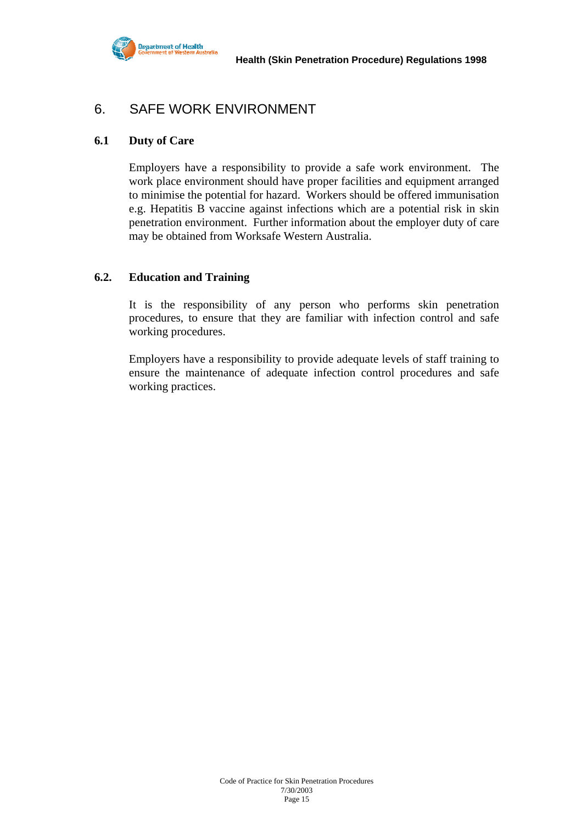

### 6. SAFE WORK ENVIRONMENT

#### **6.1 Duty of Care**

Employers have a responsibility to provide a safe work environment. The work place environment should have proper facilities and equipment arranged to minimise the potential for hazard. Workers should be offered immunisation e.g. Hepatitis B vaccine against infections which are a potential risk in skin penetration environment. Further information about the employer duty of care may be obtained from Worksafe Western Australia.

#### **6.2. Education and Training**

It is the responsibility of any person who performs skin penetration procedures, to ensure that they are familiar with infection control and safe working procedures.

Employers have a responsibility to provide adequate levels of staff training to ensure the maintenance of adequate infection control procedures and safe working practices.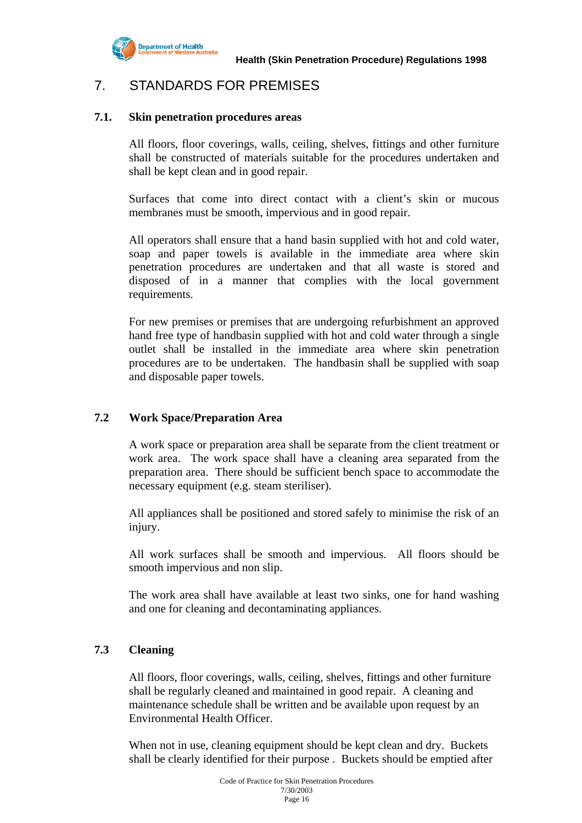

# 7. STANDARDS FOR PREMISES

#### **7.1. Skin penetration procedures areas**

All floors, floor coverings, walls, ceiling, shelves, fittings and other furniture shall be constructed of materials suitable for the procedures undertaken and shall be kept clean and in good repair.

 Surfaces that come into direct contact with a client's skin or mucous membranes must be smooth, impervious and in good repair.

 All operators shall ensure that a hand basin supplied with hot and cold water, soap and paper towels is available in the immediate area where skin penetration procedures are undertaken and that all waste is stored and disposed of in a manner that complies with the local government requirements.

 For new premises or premises that are undergoing refurbishment an approved hand free type of handbasin supplied with hot and cold water through a single outlet shall be installed in the immediate area where skin penetration procedures are to be undertaken. The handbasin shall be supplied with soap and disposable paper towels.

#### **7.2 Work Space/Preparation Area**

 A work space or preparation area shall be separate from the client treatment or work area. The work space shall have a cleaning area separated from the preparation area. There should be sufficient bench space to accommodate the necessary equipment (e.g. steam steriliser).

 All appliances shall be positioned and stored safely to minimise the risk of an injury.

 All work surfaces shall be smooth and impervious. All floors should be smooth impervious and non slip.

 The work area shall have available at least two sinks, one for hand washing and one for cleaning and decontaminating appliances.

#### **7.3 Cleaning**

All floors, floor coverings, walls, ceiling, shelves, fittings and other furniture shall be regularly cleaned and maintained in good repair. A cleaning and maintenance schedule shall be written and be available upon request by an Environmental Health Officer.

When not in use, cleaning equipment should be kept clean and dry. Buckets shall be clearly identified for their purpose . Buckets should be emptied after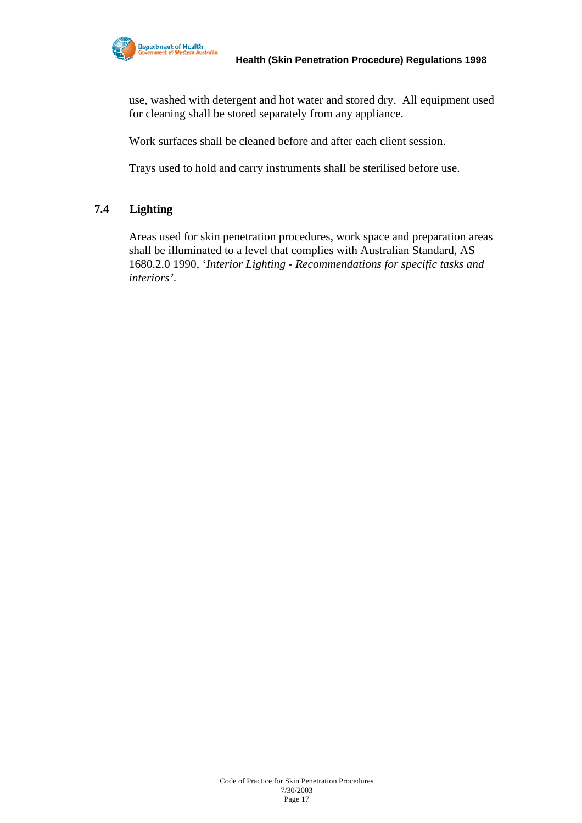

use, washed with detergent and hot water and stored dry. All equipment used for cleaning shall be stored separately from any appliance.

Work surfaces shall be cleaned before and after each client session.

Trays used to hold and carry instruments shall be sterilised before use.

#### **7.4 Lighting**

 Areas used for skin penetration procedures, work space and preparation areas shall be illuminated to a level that complies with Australian Standard, AS 1680.2.0 1990, '*Interior Lighting - Recommendations for specific tasks and interiors'*.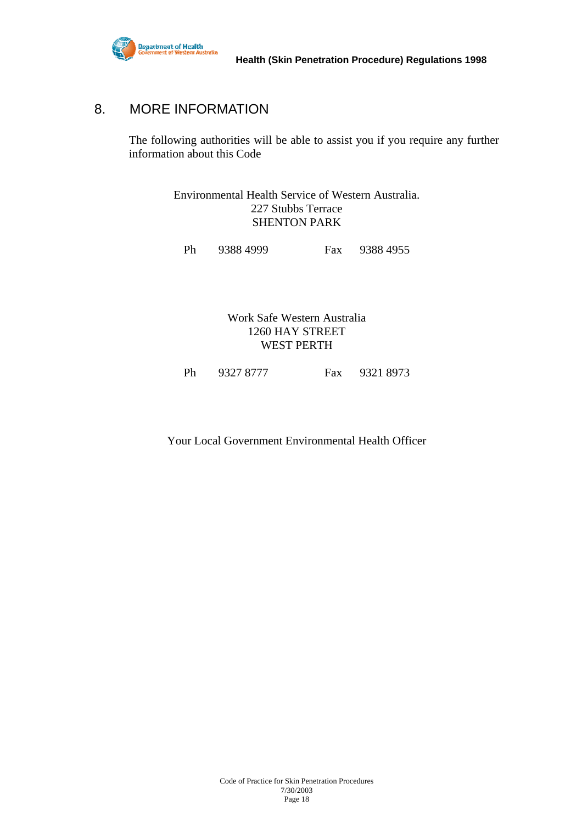

# 8. MORE INFORMATION

The following authorities will be able to assist you if you require any further information about this Code

> Environmental Health Service of Western Australia. 227 Stubbs Terrace SHENTON PARK

Ph 9388 4999 Fax 9388 4955

Work Safe Western Australia 1260 HAY STREET WEST PERTH

Ph 9327 8777 Fax 9321 8973

Your Local Government Environmental Health Officer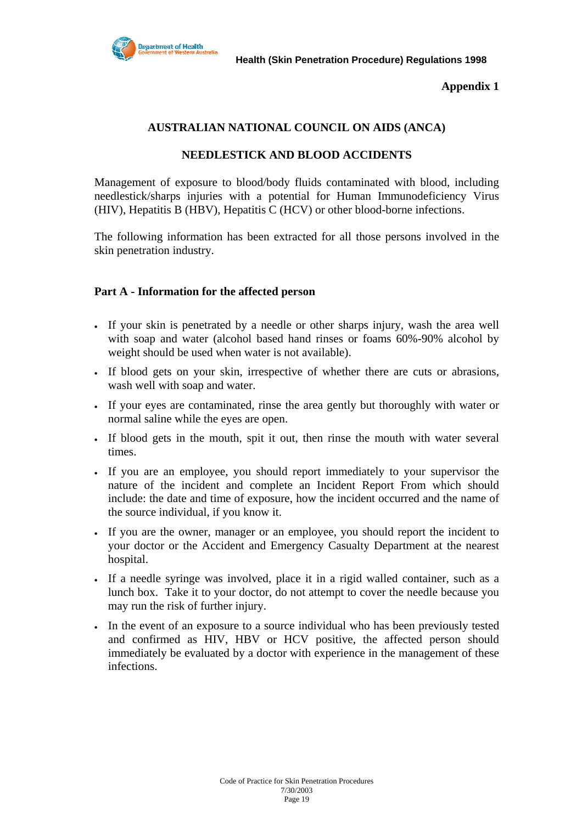

**Appendix 1** 

#### **AUSTRALIAN NATIONAL COUNCIL ON AIDS (ANCA)**

#### **NEEDLESTICK AND BLOOD ACCIDENTS**

Management of exposure to blood/body fluids contaminated with blood, including needlestick/sharps injuries with a potential for Human Immunodeficiency Virus (HIV), Hepatitis B (HBV), Hepatitis C (HCV) or other blood-borne infections.

The following information has been extracted for all those persons involved in the skin penetration industry.

#### **Part A - Information for the affected person**

- If your skin is penetrated by a needle or other sharps injury, wash the area well with soap and water (alcohol based hand rinses or foams 60%-90% alcohol by weight should be used when water is not available).
- If blood gets on your skin, irrespective of whether there are cuts or abrasions, wash well with soap and water.
- If your eyes are contaminated, rinse the area gently but thoroughly with water or normal saline while the eyes are open.
- If blood gets in the mouth, spit it out, then rinse the mouth with water several times.
- If you are an employee, you should report immediately to your supervisor the nature of the incident and complete an Incident Report From which should include: the date and time of exposure, how the incident occurred and the name of the source individual, if you know it.
- If you are the owner, manager or an employee, you should report the incident to your doctor or the Accident and Emergency Casualty Department at the nearest hospital.
- If a needle syringe was involved, place it in a rigid walled container, such as a lunch box. Take it to your doctor, do not attempt to cover the needle because you may run the risk of further injury.
- In the event of an exposure to a source individual who has been previously tested and confirmed as HIV, HBV or HCV positive, the affected person should immediately be evaluated by a doctor with experience in the management of these infections.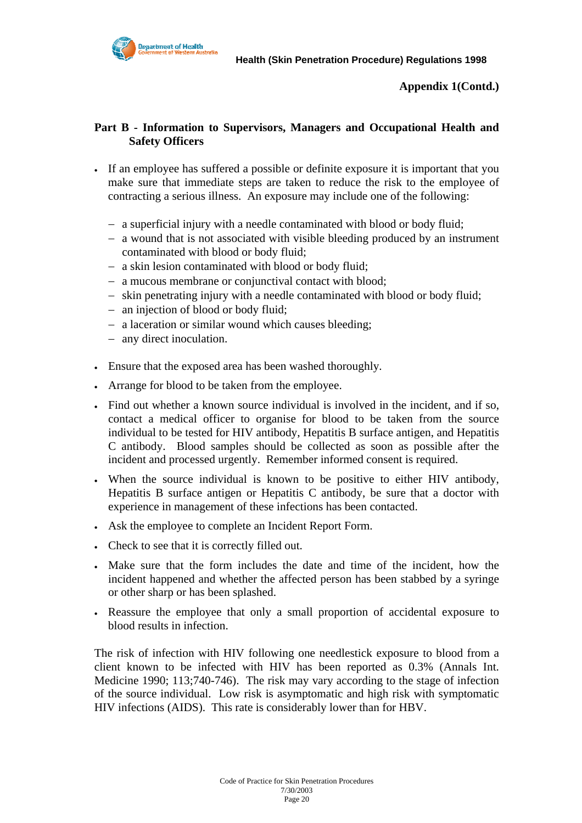

**Appendix 1(Contd.)** 

#### **Part B - Information to Supervisors, Managers and Occupational Health and Safety Officers**

- If an employee has suffered a possible or definite exposure it is important that you make sure that immediate steps are taken to reduce the risk to the employee of contracting a serious illness. An exposure may include one of the following:
	- − a superficial injury with a needle contaminated with blood or body fluid;
	- − a wound that is not associated with visible bleeding produced by an instrument contaminated with blood or body fluid;
	- − a skin lesion contaminated with blood or body fluid;
	- − a mucous membrane or conjunctival contact with blood;
	- − skin penetrating injury with a needle contaminated with blood or body fluid;
	- − an injection of blood or body fluid;
	- − a laceration or similar wound which causes bleeding;
	- − any direct inoculation.
- Ensure that the exposed area has been washed thoroughly.
- Arrange for blood to be taken from the employee.
- Find out whether a known source individual is involved in the incident, and if so, contact a medical officer to organise for blood to be taken from the source individual to be tested for HIV antibody, Hepatitis B surface antigen, and Hepatitis C antibody. Blood samples should be collected as soon as possible after the incident and processed urgently. Remember informed consent is required.
- When the source individual is known to be positive to either HIV antibody, Hepatitis B surface antigen or Hepatitis C antibody, be sure that a doctor with experience in management of these infections has been contacted.
- Ask the employee to complete an Incident Report Form.
- Check to see that it is correctly filled out.
- Make sure that the form includes the date and time of the incident, how the incident happened and whether the affected person has been stabbed by a syringe or other sharp or has been splashed.
- Reassure the employee that only a small proportion of accidental exposure to blood results in infection.

The risk of infection with HIV following one needlestick exposure to blood from a client known to be infected with HIV has been reported as 0.3% (Annals Int. Medicine 1990; 113;740-746). The risk may vary according to the stage of infection of the source individual. Low risk is asymptomatic and high risk with symptomatic HIV infections (AIDS). This rate is considerably lower than for HBV.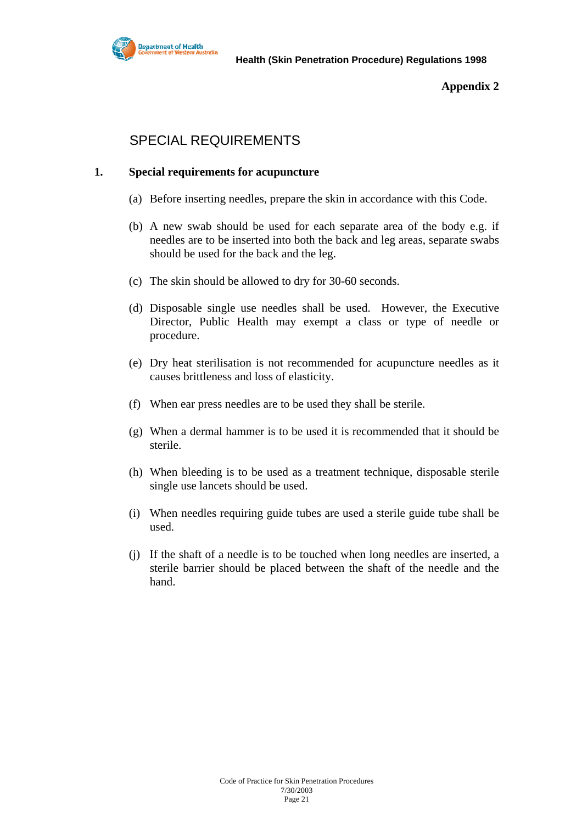

#### **Appendix 2**

# SPECIAL REQUIREMENTS

#### **1. Special requirements for acupuncture**

- (a) Before inserting needles, prepare the skin in accordance with this Code.
- (b) A new swab should be used for each separate area of the body e.g. if needles are to be inserted into both the back and leg areas, separate swabs should be used for the back and the leg.
- (c) The skin should be allowed to dry for 30-60 seconds.
- (d) Disposable single use needles shall be used. However, the Executive Director, Public Health may exempt a class or type of needle or procedure.
- (e) Dry heat sterilisation is not recommended for acupuncture needles as it causes brittleness and loss of elasticity.
- (f) When ear press needles are to be used they shall be sterile.
- (g) When a dermal hammer is to be used it is recommended that it should be sterile.
- (h) When bleeding is to be used as a treatment technique, disposable sterile single use lancets should be used.
- (i) When needles requiring guide tubes are used a sterile guide tube shall be used.
- (j) If the shaft of a needle is to be touched when long needles are inserted, a sterile barrier should be placed between the shaft of the needle and the hand.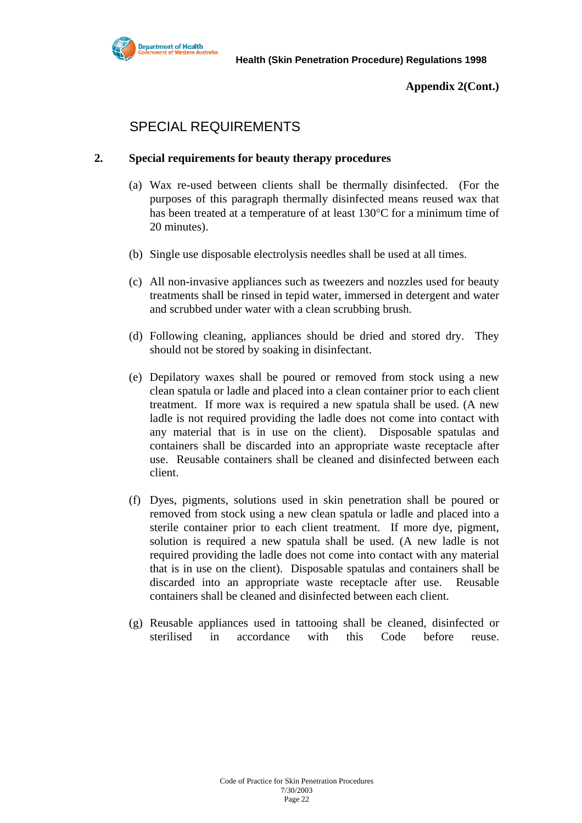

**Appendix 2(Cont.)** 

# SPECIAL REQUIREMENTS

#### **2. Special requirements for beauty therapy procedures**

- (a) Wax re-used between clients shall be thermally disinfected. (For the purposes of this paragraph thermally disinfected means reused wax that has been treated at a temperature of at least 130°C for a minimum time of 20 minutes).
- (b) Single use disposable electrolysis needles shall be used at all times.
- (c) All non-invasive appliances such as tweezers and nozzles used for beauty treatments shall be rinsed in tepid water, immersed in detergent and water and scrubbed under water with a clean scrubbing brush.
- (d) Following cleaning, appliances should be dried and stored dry. They should not be stored by soaking in disinfectant.
- (e) Depilatory waxes shall be poured or removed from stock using a new clean spatula or ladle and placed into a clean container prior to each client treatment. If more wax is required a new spatula shall be used. (A new ladle is not required providing the ladle does not come into contact with any material that is in use on the client). Disposable spatulas and containers shall be discarded into an appropriate waste receptacle after use. Reusable containers shall be cleaned and disinfected between each client.
- (f) Dyes, pigments, solutions used in skin penetration shall be poured or removed from stock using a new clean spatula or ladle and placed into a sterile container prior to each client treatment. If more dye, pigment, solution is required a new spatula shall be used. (A new ladle is not required providing the ladle does not come into contact with any material that is in use on the client). Disposable spatulas and containers shall be discarded into an appropriate waste receptacle after use. Reusable containers shall be cleaned and disinfected between each client.
- (g) Reusable appliances used in tattooing shall be cleaned, disinfected or sterilised in accordance with this Code before reuse.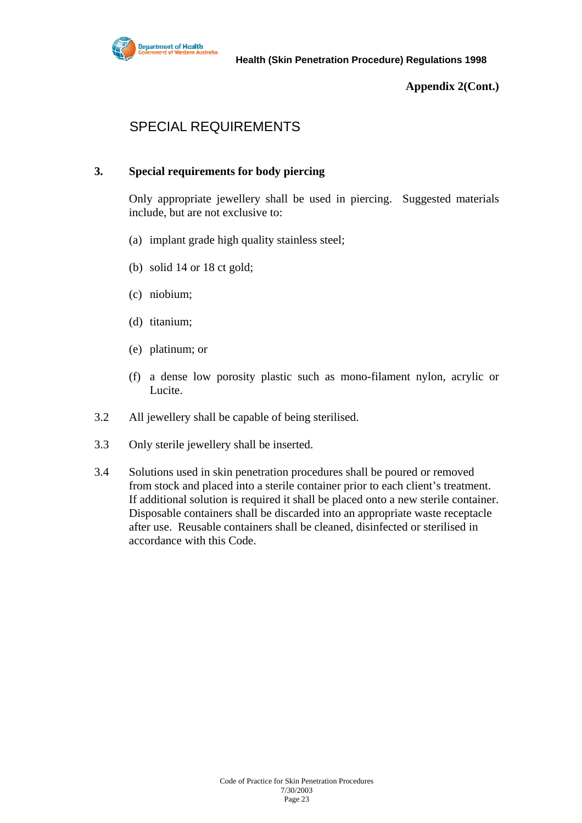

**Appendix 2(Cont.)** 

# SPECIAL REQUIREMENTS

#### **3. Special requirements for body piercing**

 Only appropriate jewellery shall be used in piercing. Suggested materials include, but are not exclusive to:

- (a) implant grade high quality stainless steel;
- (b) solid 14 or 18 ct gold;
- (c) niobium;
- (d) titanium;
- (e) platinum; or
- (f) a dense low porosity plastic such as mono-filament nylon, acrylic or Lucite.
- 3.2 All jewellery shall be capable of being sterilised.
- 3.3 Only sterile jewellery shall be inserted.
- 3.4 Solutions used in skin penetration procedures shall be poured or removed from stock and placed into a sterile container prior to each client's treatment. If additional solution is required it shall be placed onto a new sterile container. Disposable containers shall be discarded into an appropriate waste receptacle after use. Reusable containers shall be cleaned, disinfected or sterilised in accordance with this Code.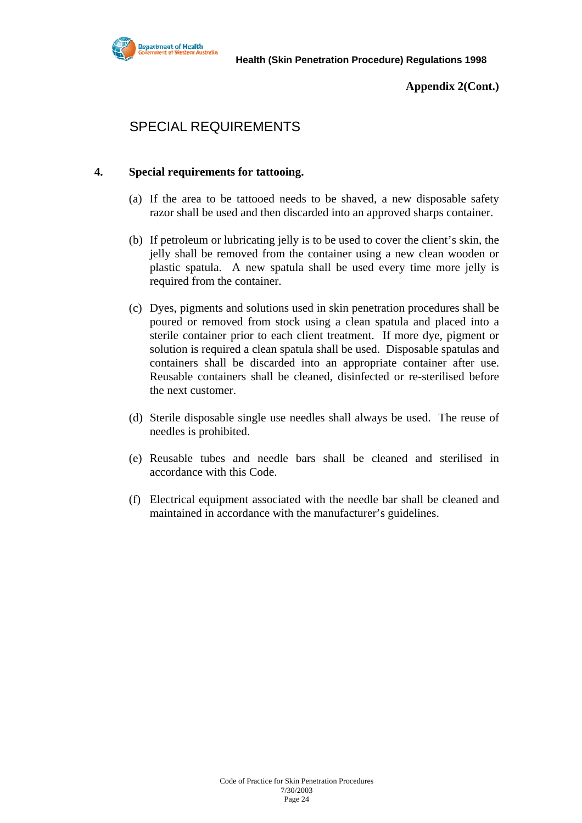

**Appendix 2(Cont.)** 

# SPECIAL REQUIREMENTS

#### **4. Special requirements for tattooing.**

- (a) If the area to be tattooed needs to be shaved, a new disposable safety razor shall be used and then discarded into an approved sharps container.
- (b) If petroleum or lubricating jelly is to be used to cover the client's skin, the jelly shall be removed from the container using a new clean wooden or plastic spatula. A new spatula shall be used every time more jelly is required from the container.
- (c) Dyes, pigments and solutions used in skin penetration procedures shall be poured or removed from stock using a clean spatula and placed into a sterile container prior to each client treatment. If more dye, pigment or solution is required a clean spatula shall be used. Disposable spatulas and containers shall be discarded into an appropriate container after use. Reusable containers shall be cleaned, disinfected or re-sterilised before the next customer.
- (d) Sterile disposable single use needles shall always be used. The reuse of needles is prohibited.
- (e) Reusable tubes and needle bars shall be cleaned and sterilised in accordance with this Code.
- (f) Electrical equipment associated with the needle bar shall be cleaned and maintained in accordance with the manufacturer's guidelines.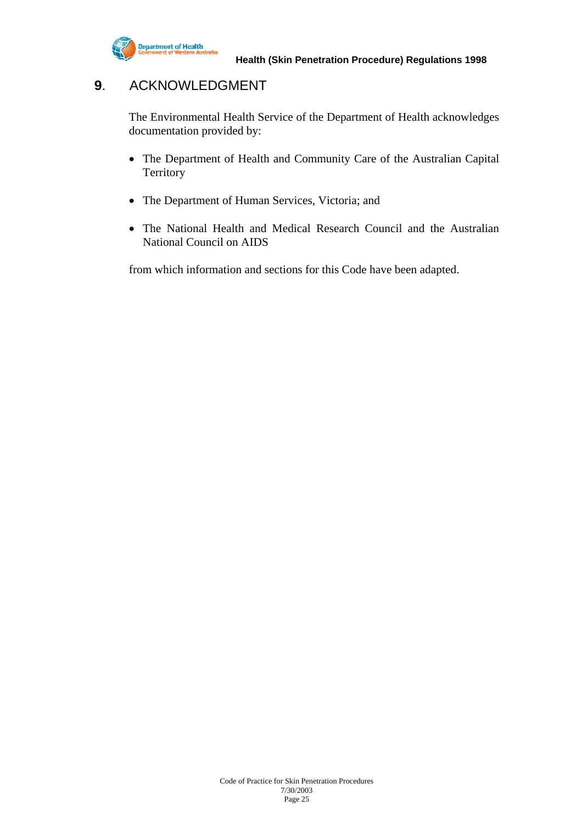

# **9**. ACKNOWLEDGMENT

The Environmental Health Service of the Department of Health acknowledges documentation provided by:

- The Department of Health and Community Care of the Australian Capital **Territory**
- The Department of Human Services, Victoria; and
- The National Health and Medical Research Council and the Australian National Council on AIDS

from which information and sections for this Code have been adapted.